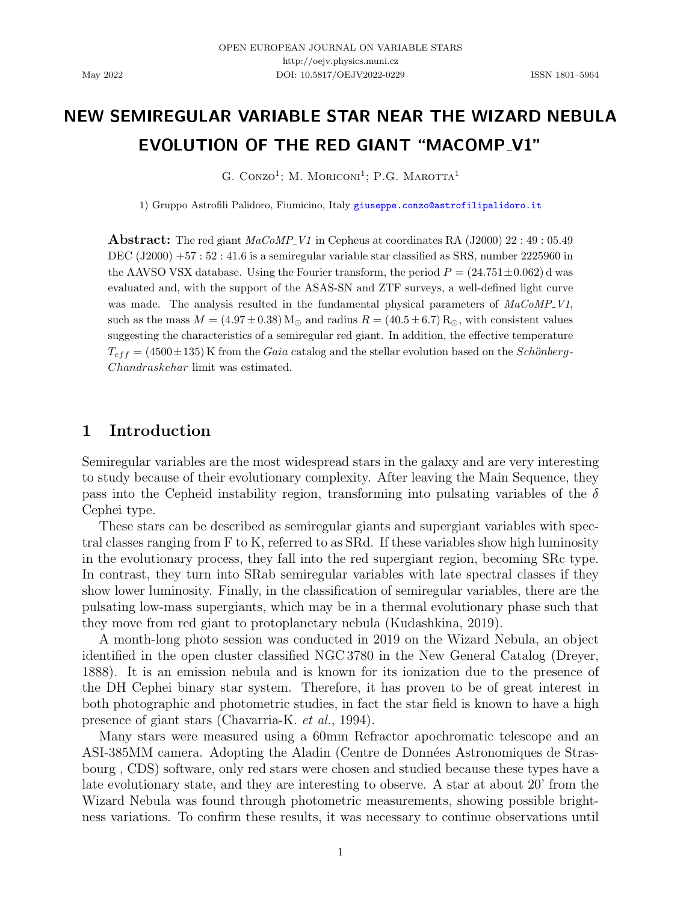# NEW SEMIREGULAR VARIABLE STAR NEAR THE WIZARD NEBULA EVOLUTION OF THE RED GIANT "MACOMP V1"

G. CONZO<sup>1</sup>; M. MORICONI<sup>1</sup>; P.G. MAROTTA<sup>1</sup>

1) Gruppo Astrofili Palidoro, Fiumicino, Italy [giuseppe.conzo@astrofilipalidoro.it](mailto:giuseppe.conzo@astrofilipalidoro.it)

**Abstract:** The red giant  $MaCoMP$ -V1 in Cepheus at coordinates RA (J2000) 22 : 49 : 05.49 DEC (J2000) +57 : 52 : 41.6 is a semiregular variable star classified as SRS, number 2225960 in the AAVSO VSX database. Using the Fourier transform, the period  $P = (24.751 \pm 0.062)$  d was evaluated and, with the support of the ASAS-SN and ZTF surveys, a well-defined light curve was made. The analysis resulted in the fundamental physical parameters of  $MaCoMP_V1$ , such as the mass  $M = (4.97 \pm 0.38)$  M<sub>\o</sub> and radius  $R = (40.5 \pm 6.7)$  R<sub>\o</sub> with consistent values suggesting the characteristics of a semiregular red giant. In addition, the effective temperature  $T_{eff} = (4500 \pm 135)$  K from the Gaia catalog and the stellar evolution based on the Schönberg-Chandraskehar limit was estimated.

## 1 Introduction

Semiregular variables are the most widespread stars in the galaxy and are very interesting to study because of their evolutionary complexity. After leaving the Main Sequence, they pass into the Cepheid instability region, transforming into pulsating variables of the  $\delta$ Cephei type.

These stars can be described as semiregular giants and supergiant variables with spectral classes ranging from F to K, referred to as SRd. If these variables show high luminosity in the evolutionary process, they fall into the red supergiant region, becoming SRc type. In contrast, they turn into SRab semiregular variables with late spectral classes if they show lower luminosity. Finally, in the classification of semiregular variables, there are the pulsating low-mass supergiants, which may be in a thermal evolutionary phase such that they move from red giant to protoplanetary nebula [\(Kudashkina,](#page-6-0) [2019\)](#page-6-0).

A month-long photo session was conducted in 2019 on the Wizard Nebula, an object identified in the open cluster classified NGC 3780 in the New General Catalog [\(Dreyer,](#page-6-1) [1888\)](#page-6-1). It is an emission nebula and is known for its ionization due to the presence of the DH Cephei binary star system. Therefore, it has proven to be of great interest in both photographic and photometric studies, in fact the star field is known to have a high presence of giant stars [\(Chavarria-K.](#page-5-0) et al., [1994\)](#page-5-0).

Many stars were measured using a 60mm Refractor apochromatic telescope and an ASI-385MM camera. Adopting the Aladin (Centre de Données Astronomiques de Stras[bourg](#page-5-1) , [CDS\)](#page-5-1) software, only red stars were chosen and studied because these types have a late evolutionary state, and they are interesting to observe. A star at about 20' from the Wizard Nebula was found through photometric measurements, showing possible brightness variations. To confirm these results, it was necessary to continue observations until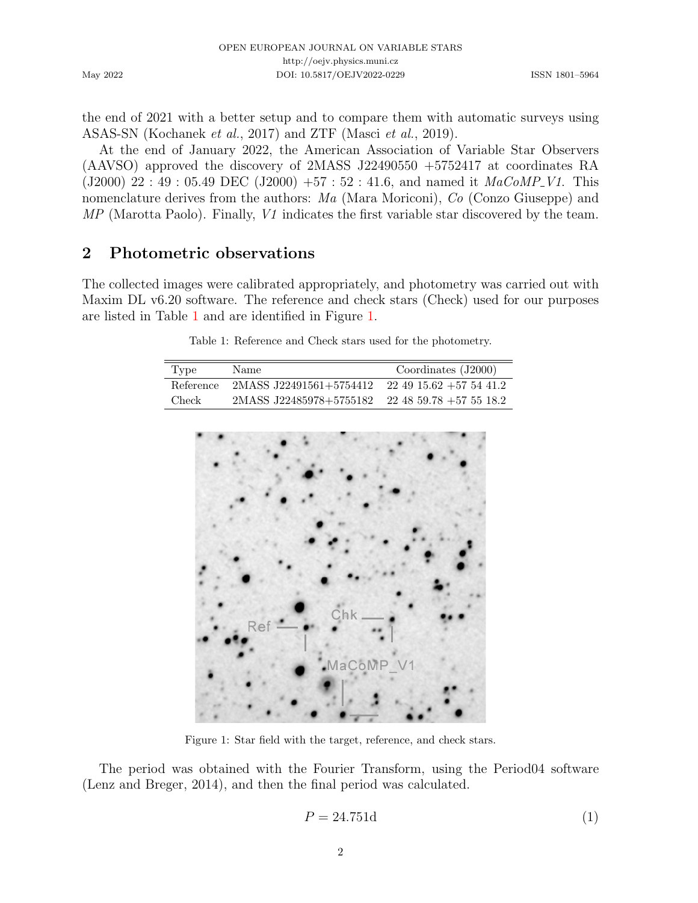May 2022

the end of 2021 with a better setup and to compare them with automatic surveys using ASAS-SN [\(Kochanek](#page-6-2) et al., [2017\)](#page-6-2) and ZTF [\(Masci](#page-7-0) et al., [2019\)](#page-7-0).

At the end of January 2022, the American Association of Variable Star Observers (AAVSO) approved the discovery of 2MASS J22490550 +5752417 at coordinates RA (J2000) 22 : 49 : 05.49 DEC (J2000) +57 : 52 : 41.6, and named it  $MaCoMP_V1$ . This nomenclature derives from the authors: Ma (Mara Moriconi), Co (Conzo Giuseppe) and MP (Marotta Paolo). Finally, V1 indicates the first variable star discovered by the team.

## 2 Photometric observations

<span id="page-1-0"></span>The collected images were calibrated appropriately, and photometry was carried out with Maxim DL v6.20 software. The reference and check stars (Check) used for our purposes are listed in Table [1](#page-1-0) and are identified in Figure [1.](#page-1-1)

Table 1: Reference and Check stars used for the photometry.

| Type      | Name                    | Coordinates $(J2000)$          |
|-----------|-------------------------|--------------------------------|
| Reference | 2MASS J22491561+5754412 | $22\;49\;15.62\;+57\;54\;41.2$ |
| Check     | 2MASS J22485978+5755182 | $22\;48\;59.78\;+57\;55\;18.2$ |

<span id="page-1-1"></span>

Figure 1: Star field with the target, reference, and check stars.

The period was obtained with the Fourier Transform, using the Period04 software [\(Lenz and Breger,](#page-7-1) [2014\)](#page-7-1), and then the final period was calculated.

$$
P = 24.751d \tag{1}
$$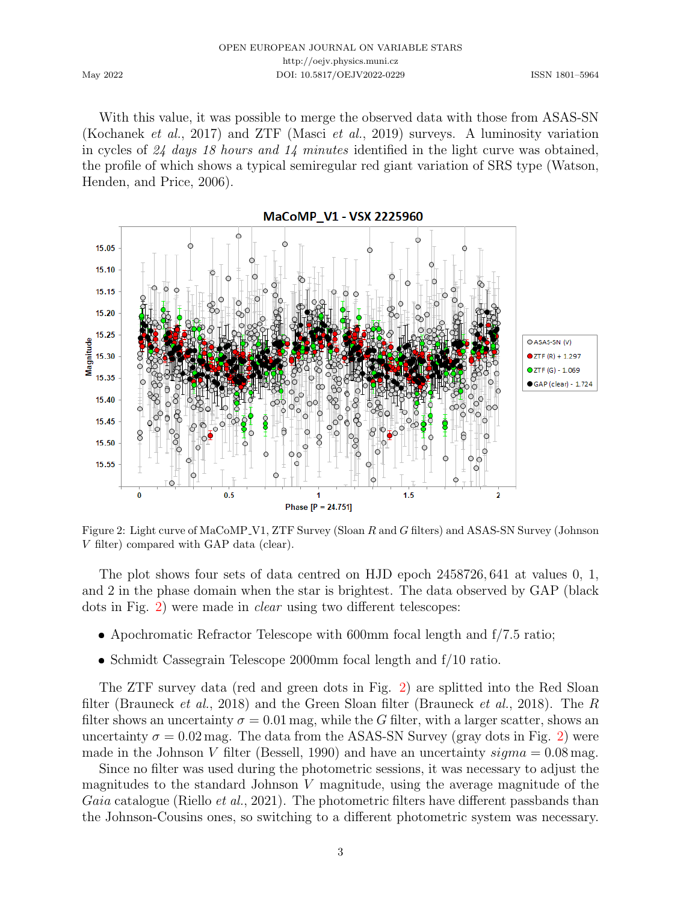| OPEN EUROPEAN JOURNAL ON VARIABLE STARS |
|-----------------------------------------|
| http://oejv.physics.muni.cz             |
| DOI: 10.5817/OEJV2022-0229              |

May 2022

With this value, it was possible to merge the observed data with those from ASAS-SN [\(Kochanek](#page-6-2) et al., [2017\)](#page-6-2) and ZTF [\(Masci](#page-7-0) et al., [2019\)](#page-7-0) surveys. A luminosity variation in cycles of 24 days 18 hours and 14 minutes identified in the light curve was obtained, the profile of which shows a typical semiregular red giant variation of SRS type [\(Watson,](#page-7-2) [Henden, and Price,](#page-7-2) [2006\)](#page-7-2).

<span id="page-2-0"></span>

Figure 2: Light curve of MaCoMP V1, ZTF Survey (Sloan R and G filters) and ASAS-SN Survey (Johnson V filter) compared with GAP data (clear).

The plot shows four sets of data centred on HJD epoch 2458726, 641 at values 0, 1, and 2 in the phase domain when the star is brightest. The data observed by GAP (black dots in Fig. [2\)](#page-2-0) were made in clear using two different telescopes:

- Apochromatic Refractor Telescope with 600mm focal length and f/7.5 ratio;
- Schmidt Cassegrain Telescope 2000mm focal length and f/10 ratio.

The ZTF survey data (red and green dots in Fig. [2\)](#page-2-0) are splitted into the Red Sloan filter [\(Brauneck](#page-5-2) *et al.*, [2018\)](#page-5-2) and the Green Sloan filter (Brauneck *et al.*, 2018). The R filter shows an uncertainty  $\sigma = 0.01$  mag, while the G filter, with a larger scatter, shows an uncertainty  $\sigma = 0.02$  mag. The data from the ASAS-SN Survey (gray dots in Fig. [2\)](#page-2-0) were made in the Johnson V filter [\(Bessell,](#page-5-3) [1990\)](#page-5-3) and have an uncertainty  $sigma = 0.08$  mag.

Since no filter was used during the photometric sessions, it was necessary to adjust the magnitudes to the standard Johnson V magnitude, using the average magnitude of the Gaia catalogue [\(Riello](#page-7-3) *et al.*, [2021\)](#page-7-3). The photometric filters have different passbands than the Johnson-Cousins ones, so switching to a different photometric system was necessary.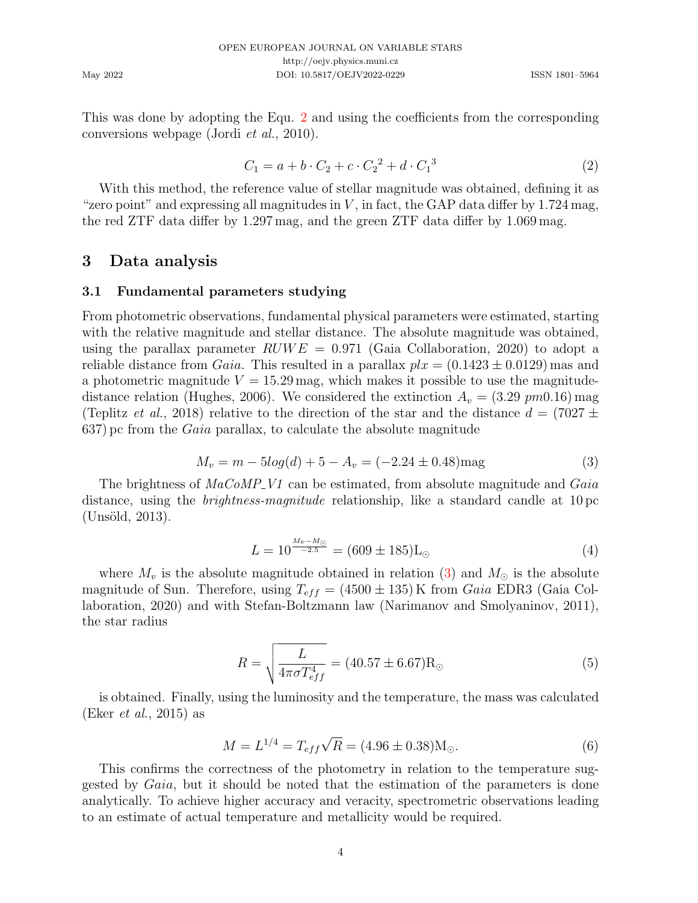This was done by adopting the Equ. [2](#page-3-0) and using the coefficients from the corresponding conversions webpage [\(Jordi](#page-6-3) et al., [2010\)](#page-6-3).

<span id="page-3-0"></span>
$$
C_1 = a + b \cdot C_2 + c \cdot C_2^2 + d \cdot C_1^3 \tag{2}
$$

With this method, the reference value of stellar magnitude was obtained, defining it as "zero point" and expressing all magnitudes in  $V$ , in fact, the GAP data differ by  $1.724$  mag, the red ZTF data differ by 1.297 mag, and the green ZTF data differ by 1.069 mag.

## 3 Data analysis

#### 3.1 Fundamental parameters studying

From photometric observations, fundamental physical parameters were estimated, starting with the relative magnitude and stellar distance. The absolute magnitude was obtained, using the parallax parameter  $RUWE = 0.971$  [\(Gaia Collaboration,](#page-6-4) [2020\)](#page-6-4) to adopt a reliable distance from *Gaia*. This resulted in a parallax  $plx = (0.1423 \pm 0.0129)$  mas and a photometric magnitude  $V = 15.29$  mag, which makes it possible to use the magnitude-distance relation [\(Hughes,](#page-6-5) [2006\)](#page-6-5). We considered the extinction  $A_v = (3.29 \text{ pm}0.16)$  mag [\(Teplitz](#page-7-4) *et al.*, [2018\)](#page-7-4) relative to the direction of the star and the distance  $d = (7027 \pm 1000)$ 637) pc from the Gaia parallax, to calculate the absolute magnitude

<span id="page-3-1"></span>
$$
M_v = m - 5\log(d) + 5 - A_v = (-2.24 \pm 0.48) \text{mag}
$$
\n(3)

The brightness of  $MaCoMP_V1$  can be estimated, from absolute magnitude and  $Gaia$ distance, using the *brightness-magnitude* relationship, like a standard candle at 10 pc  $(Unsöld, 2013).$  $(Unsöld, 2013).$  $(Unsöld, 2013).$ 

$$
L = 10^{\frac{M_v - M_\odot}{-2.5}} = (609 \pm 185) L_\odot \tag{4}
$$

where  $M_v$  is the absolute magnitude obtained in relation [\(3\)](#page-3-1) and  $M_{\odot}$  is the absolute magnitude of Sun. Therefore, using  $T_{eff} = (4500 \pm 135) \,\mathrm{K}$  from Gaia EDR3 [\(Gaia Col](#page-6-4)[laboration,](#page-6-4) [2020\)](#page-6-4) and with Stefan-Boltzmann law [\(Narimanov and Smolyaninov,](#page-7-6) [2011\)](#page-7-6), the star radius

$$
R = \sqrt{\frac{L}{4\pi\sigma T_{eff}^4}} = (40.57 \pm 6.67) \text{R}_{\odot}
$$
 (5)

is obtained. Finally, using the luminosity and the temperature, the mass was calculated (Eker *[et al.](#page-6-6)*, [2015\)](#page-6-6) as

$$
M = L^{1/4} = T_{eff}\sqrt{R} = (4.96 \pm 0.38)M_{\odot}.
$$
 (6)

This confirms the correctness of the photometry in relation to the temperature suggested by Gaia, but it should be noted that the estimation of the parameters is done analytically. To achieve higher accuracy and veracity, spectrometric observations leading to an estimate of actual temperature and metallicity would be required.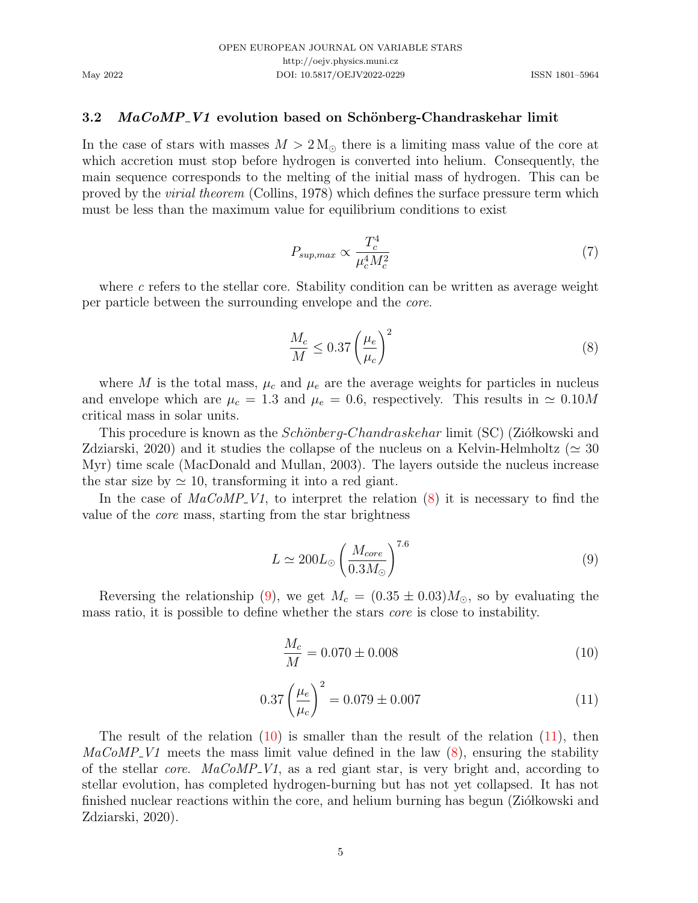#### 3.2 MaCoMP V1 evolution based on Schönberg-Chandraskehar limit

In the case of stars with masses  $M > 2 M_{\odot}$  there is a limiting mass value of the core at which accretion must stop before hydrogen is converted into helium. Consequently, the main sequence corresponds to the melting of the initial mass of hydrogen. This can be proved by the virial theorem [\(Collins,](#page-6-7) [1978\)](#page-6-7) which defines the surface pressure term which must be less than the maximum value for equilibrium conditions to exist

$$
P_{sup,max} \propto \frac{T_c^4}{\mu_c^4 M_c^2} \tag{7}
$$

where  $c$  refers to the stellar core. Stability condition can be written as average weight per particle between the surrounding envelope and the core.

<span id="page-4-0"></span>
$$
\frac{M_c}{M} \le 0.37 \left(\frac{\mu_e}{\mu_c}\right)^2\tag{8}
$$

where M is the total mass,  $\mu_c$  and  $\mu_e$  are the average weights for particles in nucleus and envelope which are  $\mu_c = 1.3$  and  $\mu_e = 0.6$ , respectively. This results in  $\simeq 0.10M$ critical mass in solar units.

This procedure is known as the *Schönberg-Chandraskehar* limit (SC) (Ziółkowski and [Zdziarski,](#page-7-7) [2020\)](#page-7-7) and it studies the collapse of the nucleus on a Kelvin-Helmholtz ( $\simeq 30$ Myr) time scale [\(MacDonald and Mullan,](#page-7-8) [2003\)](#page-7-8). The layers outside the nucleus increase the star size by  $\simeq 10$ , transforming it into a red giant.

In the case of  $MaCoMP_V1$ , to interpret the relation  $(8)$  it is necessary to find the value of the core mass, starting from the star brightness

<span id="page-4-1"></span>
$$
L \simeq 200 L_{\odot} \left(\frac{M_{core}}{0.3 M_{\odot}}\right)^{7.6} \tag{9}
$$

Reversing the relationship [\(9\)](#page-4-1), we get  $M_c = (0.35 \pm 0.03) M_{\odot}$ , so by evaluating the mass ratio, it is possible to define whether the stars core is close to instability.

<span id="page-4-2"></span>
$$
\frac{M_c}{M} = 0.070 \pm 0.008\tag{10}
$$

<span id="page-4-3"></span>
$$
0.37 \left(\frac{\mu_e}{\mu_c}\right)^2 = 0.079 \pm 0.007\tag{11}
$$

The result of the relation  $(10)$  is smaller than the result of the relation  $(11)$ , then  $MaCoMP_V1$  meets the mass limit value defined in the law  $(8)$ , ensuring the stability of the stellar *core.*  $MaCoMP_V1$ , as a red giant star, is very bright and, according to stellar evolution, has completed hydrogen-burning but has not yet collapsed. It has not finished nuclear reactions within the core, and helium burning has begun (Ziókowski and [Zdziarski,](#page-7-7) [2020\)](#page-7-7).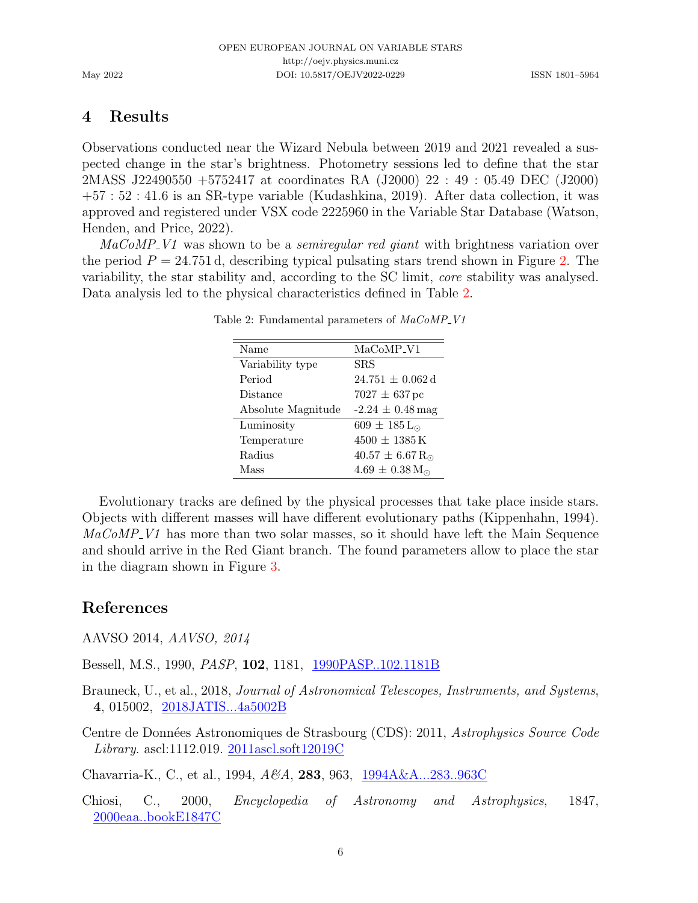# 4 Results

Observations conducted near the Wizard Nebula between 2019 and 2021 revealed a suspected change in the star's brightness. Photometry sessions led to define that the star 2MASS J22490550 +5752417 at coordinates RA (J2000) 22 : 49 : 05.49 DEC (J2000) +57 : 52 : 41.6 is an SR-type variable [\(Kudashkina,](#page-6-0) [2019\)](#page-6-0). After data collection, it was approved and registered under VSX code 2225960 in the Variable Star Database [\(Watson,](#page-7-9) [Henden, and Price,](#page-7-9) [2022\)](#page-7-9).

<span id="page-5-4"></span> $MaCoMP-V1$  was shown to be a *semiregular red giant* with brightness variation over the period  $P = 24.751$  d, describing typical pulsating stars trend shown in Figure [2.](#page-2-0) The variability, the star stability and, according to the SC limit, core stability was analysed. Data analysis led to the physical characteristics defined in Table [2.](#page-5-4)

| Name               | MaCoMP <sub>-V1</sub>           |
|--------------------|---------------------------------|
| Variability type   | SRS                             |
| Period             | $24.751 \pm 0.062 \,\mathrm{d}$ |
| Distance           | $7027 \pm 637$ pc               |
| Absolute Magnitude | $-2.24 \pm 0.48$ mag            |
| Luminosity         | $609 \pm 185$ L <sub>o</sub>    |
| Temperature        | $4500 + 1385$ K                 |
| Radius             | $40.57 \pm 6.67 R_{\odot}$      |
| Mass               | $4.69 \pm 0.38$ M <sub>o</sub>  |

Table 2: Fundamental parameters of  $MaCoMP_V1$ 

Evolutionary tracks are defined by the physical processes that take place inside stars. Objects with different masses will have different evolutionary paths [\(Kippenhahn,](#page-6-8) [1994\)](#page-6-8).  $MaCoMP<sub>Y1</sub>$  has more than two solar masses, so it should have left the Main Sequence and should arrive in the Red Giant branch. The found parameters allow to place the star in the diagram shown in Figure [3.](#page-6-9)

# References

AAVSO 2014, AAVSO, 2014

<span id="page-5-3"></span>Bessell, M.S., 1990, PASP, 102, 1181, [1990PASP..102.1181B](https://ui.adsabs.harvard.edu/abs/1990PASP..102.1181B)

- <span id="page-5-2"></span>Brauneck, U., et al., 2018, Journal of Astronomical Telescopes, Instruments, and Systems, 4, 015002, [2018JATIS...4a5002B](https://ui.adsabs.harvard.edu/abs/2018JATIS...4a5002B)
- <span id="page-5-1"></span>Centre de Données Astronomiques de Strasbourg (CDS): 2011, Astrophysics Source Code *Library.* ascl:1112.019.  $2011$ ascl.soft12019C

<span id="page-5-0"></span>Chavarria-K., C., et al., 1994, A&A, 283, 963, [1994A&A...283..963C](https://ui.adsabs.harvard.edu/abs/1994A&A...283..963C)

Chiosi, C., 2000, Encyclopedia of Astronomy and Astrophysics, 1847, [2000eaa..bookE1847C](https://ui.adsabs.harvard.edu/abs/2000eaa..bookE1847C)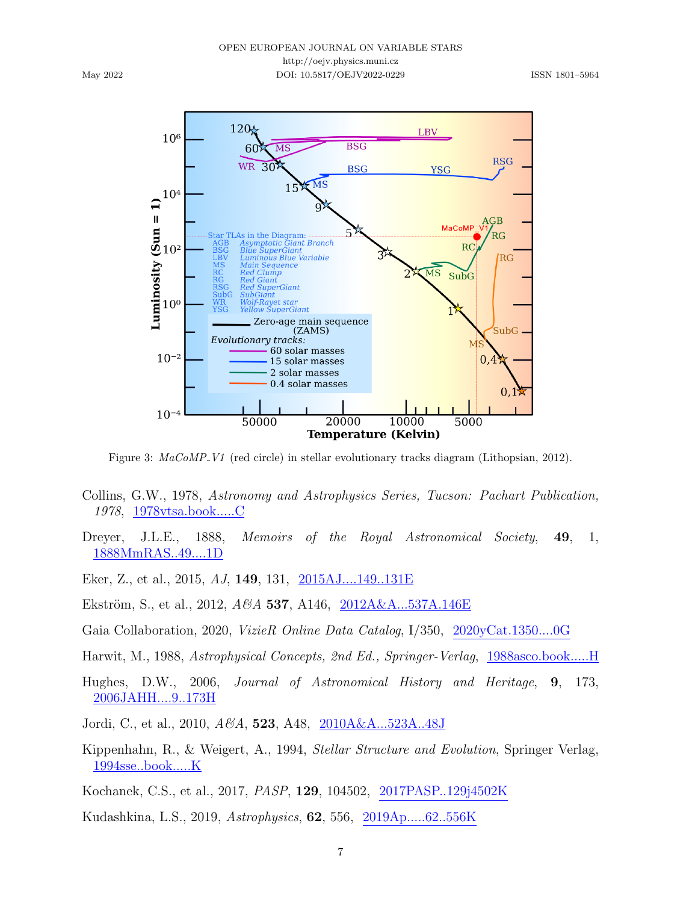<span id="page-6-9"></span>May 2022



Figure 3:  $MaCoMP-V1$  (red circle) in stellar evolutionary tracks diagram [\(Lithopsian,](#page-7-10) [2012\)](#page-7-10).

- <span id="page-6-7"></span>Collins, G.W., 1978, Astronomy and Astrophysics Series, Tucson: Pachart Publication, 1978, [1978vtsa.book.....C](https://ui.adsabs.harvard.edu/abs/1978vtsa.book.....C)
- <span id="page-6-1"></span>Dreyer, J.L.E., 1888, Memoirs of the Royal Astronomical Society, 49, 1, [1888MmRAS..49....1D](https://ui.adsabs.harvard.edu/abs/1888MmRAS..49....1D)

<span id="page-6-6"></span>Eker, Z., et al., 2015, AJ, 149, 131, [2015AJ....149..131E](https://ui.adsabs.harvard.edu/abs/2015AJ....149..131E)

- Ekström, S., et al., 2012,  $A\&A$  537, A146, [2012A&A...537A.146E](https://ui.adsabs.harvard.edu/abs/2012A&A...537A.146E)
- <span id="page-6-4"></span>Gaia Collaboration, 2020, VizieR Online Data Catalog, I/350, [2020yCat.1350....0G](https://ui.adsabs.harvard.edu/abs/2020yCat.1350....0G)
- Harwit, M., 1988, Astrophysical Concepts, 2nd Ed., Springer-Verlag, [1988asco.book.....H](https://ui.adsabs.harvard.edu/abs/1988asco.book.....H)
- <span id="page-6-5"></span>Hughes, D.W., 2006, Journal of Astronomical History and Heritage, 9, 173, [2006JAHH....9..173H](https://ui.adsabs.harvard.edu/abs/2006JAHH....9..173H)
- <span id="page-6-3"></span>Jordi, C., et al., 2010, A&A, 523, A48, [2010A&A...523A..48J](https://ui.adsabs.harvard.edu/abs/2010A&A...523A..48J)
- <span id="page-6-8"></span>Kippenhahn, R., & Weigert, A., 1994, Stellar Structure and Evolution, Springer Verlag, [1994sse..book.....K](https://ui.adsabs.harvard.edu/abs/1994sse..book.....K)
- <span id="page-6-2"></span>Kochanek, C.S., et al., 2017, PASP, 129, 104502, [2017PASP..129j4502K](https://ui.adsabs.harvard.edu/abs/2017PASP..129j4502K)
- <span id="page-6-0"></span>Kudashkina, L.S., 2019, Astrophysics, 62, 556, [2019Ap.....62..556K](https://ui.adsabs.harvard.edu/abs/2019Ap.....62..556K)